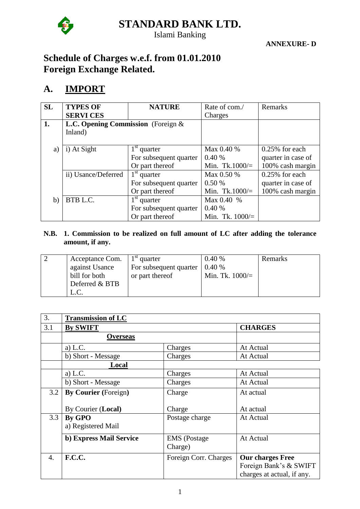

Islami Banking

**ANNEXURE- D**

## **Schedule of Charges w.e.f. from 01.01.2010 Foreign Exchange Related.**

## **A. IMPORT**

| <b>SL</b> | <b>TYPES OF</b>                      | <b>NATURE</b>          | Rate of com./     | Remarks            |
|-----------|--------------------------------------|------------------------|-------------------|--------------------|
|           | <b>SERVICES</b>                      |                        | Charges           |                    |
| 1.        | L.C. Opening Commission (Foreign &   |                        |                   |                    |
|           | Inland)                              |                        |                   |                    |
|           |                                      |                        |                   |                    |
| a)        | i) At Sight                          | $1st$ quarter          | Max 0.40 %        | $0.25\%$ for each  |
|           |                                      | For subsequent quarter | 0.40%             | quarter in case of |
|           |                                      | Or part thereof        | Min. Tk.1000/ $=$ | 100% cash margin   |
|           | $1st$ quarter<br>ii) Usance/Deferred |                        | Max 0.50 %        | $0.25%$ for each   |
|           | For subsequent quarter               |                        | 0.50%             | quarter in case of |
|           |                                      | Or part thereof        | Min. Tk.1000/ $=$ | 100% cash margin   |
| b)        | BTB L.C.                             | $1st$ quarter          | Max 0.40 %        |                    |
|           |                                      | For subsequent quarter | 0.40%             |                    |
|           |                                      | Or part thereof        | Min. Tk. $1000/$  |                    |

### **N.B. 1. Commission to be realized on full amount of LC after adding the tolerance amount, if any.**

| Acceptance Com. | $1st$ quarter          | 0.40%              | Remarks |
|-----------------|------------------------|--------------------|---------|
| against Usance  | For subsequent quarter | 0.40%              |         |
| bill for both   | or part thereof        | Min. Tk. $1000/$ = |         |
| Deferred & BTB  |                        |                    |         |
|                 |                        |                    |         |

| 3.               | <b>Transmission of LC</b>   |                       |                            |
|------------------|-----------------------------|-----------------------|----------------------------|
| 3.1              | <b>By SWIFT</b>             |                       | <b>CHARGES</b>             |
|                  | <b>Overseas</b>             |                       |                            |
|                  | a) $L.C.$                   | Charges               | At Actual                  |
|                  | b) Short - Message          | Charges               | At Actual                  |
|                  | Local                       |                       |                            |
|                  | $a)$ L.C.                   | Charges               | At Actual                  |
|                  | b) Short - Message          | Charges               | At Actual                  |
| 3.2              | <b>By Courier</b> (Foreign) | Charge                | At actual                  |
|                  |                             |                       |                            |
|                  | By Courier (Local)          | Charge                | At actual                  |
| 3.3              | By GPO                      | Postage charge        | At Actual                  |
|                  | a) Registered Mail          |                       |                            |
|                  | b) Express Mail Service     | <b>EMS</b> (Postage   | At Actual                  |
|                  |                             | Charge)               |                            |
| $\overline{4}$ . | <b>F.C.C.</b>               | Foreign Corr. Charges | <b>Our charges Free</b>    |
|                  |                             |                       | Foreign Bank's & SWIFT     |
|                  |                             |                       | charges at actual, if any. |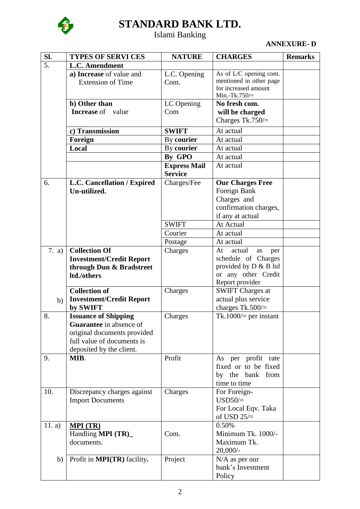

## Islami Banking

### **ANNEXURE- D**

| Sl.              | <b>TYPES OF SERVI CES</b>                                                                                                                       | <b>NATURE</b>                         | <b>CHARGES</b>                                                                                                      | <b>Remarks</b> |
|------------------|-------------------------------------------------------------------------------------------------------------------------------------------------|---------------------------------------|---------------------------------------------------------------------------------------------------------------------|----------------|
| $\overline{5}$ . | <b>L.C.</b> Amendment                                                                                                                           |                                       |                                                                                                                     |                |
|                  | a) Increase of value and<br><b>Extension of Time</b>                                                                                            | L.C. Opening<br>Com.                  | As of L/C opening com.<br>mentioned in other page<br>for increased amount<br>Min.-Tk.750 $/=$                       |                |
|                  | b) Other than<br><b>Increase</b> of value                                                                                                       | LC Opening<br>Com                     | No fresh com.<br>will be charged<br>Charges Tk.750/ $=$                                                             |                |
|                  | c) Transmission                                                                                                                                 | <b>SWIFT</b>                          | At actual                                                                                                           |                |
|                  | Foreign                                                                                                                                         | By courier                            | At actual                                                                                                           |                |
|                  | Local                                                                                                                                           | By courier                            | At actual                                                                                                           |                |
|                  |                                                                                                                                                 | By GPO                                | At actual                                                                                                           |                |
|                  |                                                                                                                                                 | <b>Express Mail</b><br><b>Service</b> | At actual                                                                                                           |                |
| 6.               | L.C. Cancellation / Expired<br>Un-utilized.                                                                                                     | Charges/Fee                           | <b>Our Charges Free</b><br>Foreign Bank<br>Charges and<br>confirmation charges,<br>if any at actual                 |                |
|                  |                                                                                                                                                 | <b>SWIFT</b>                          | At Actual                                                                                                           |                |
|                  |                                                                                                                                                 | Courier                               | At actual                                                                                                           |                |
|                  |                                                                                                                                                 | Postage                               | At actual                                                                                                           |                |
| 7. a)            | <b>Collection Of</b><br><b>Investment/Credit Report</b><br>through Dun & Bradstreet<br>ltd./others                                              | Charges                               | At<br>actual<br>as<br>per<br>schedule of Charges<br>provided by D & B ltd<br>or any other Credit<br>Report provider |                |
| b)               | <b>Collection of</b><br><b>Investment/Credit Report</b><br>by SWIFT                                                                             | Charges                               | <b>SWIFT Charges at</b><br>actual plus service<br>charges Tk.500/=                                                  |                |
| 8.               | <b>Issuance of Shipping</b><br>Guarantee in absence of<br>original documents provided<br>full value of documents is<br>deposited by the client. | Charges                               | Tk.1000/ $=$ per instant                                                                                            |                |
| 9.               | MIB.                                                                                                                                            | Profit                                | As per profit rate<br>fixed or to be fixed<br>by the bank from<br>time to time                                      |                |
| 10.              | Discrepancy charges against<br><b>Import Documents</b>                                                                                          | Charges                               | For Foreign-<br>$USD50/=$<br>For Local Eqv. Taka<br>of USD $25/=$                                                   |                |
| 11. $a)$         | $MPI (TR)$<br>Handling <b>MPI</b> (TR)<br>documents.                                                                                            | Com.                                  | 0.50%<br>Minimum Tk. 1000/-<br>Maximum Tk.<br>$20,000/-$                                                            |                |
| b)               | Profit in <b>MPI(TR)</b> facility.                                                                                                              | Project                               | $N/A$ as per our<br>bank's Investment<br>Policy                                                                     |                |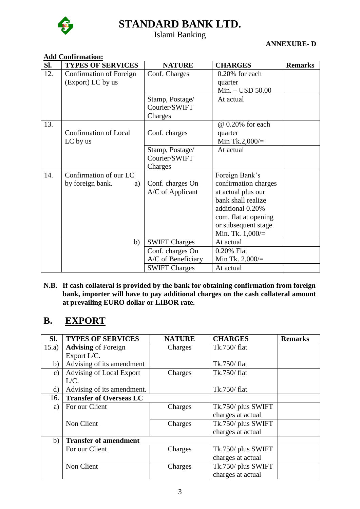

Islami Banking

### **ANNEXURE- D**

### **Add Confirmation:**

| SI. | <b>TYPES OF SERVICES</b>     | <b>NATURE</b>        | <b>CHARGES</b>       | <b>Remarks</b> |
|-----|------------------------------|----------------------|----------------------|----------------|
| 12. | Confirmation of Foreign      | Conf. Charges        | $0.20\%$ for each    |                |
|     | (Export) LC by us            |                      | quarter              |                |
|     |                              |                      | Min. - USD 50.00     |                |
|     |                              | Stamp, Postage/      | At actual            |                |
|     |                              | Courier/SWIFT        |                      |                |
|     |                              | Charges              |                      |                |
| 13. |                              |                      | @ 0.20% for each     |                |
|     | <b>Confirmation of Local</b> | Conf. charges        | quarter              |                |
|     | LC by us                     |                      | Min Tk.2,000/ $=$    |                |
|     |                              | Stamp, Postage/      | At actual            |                |
|     |                              | Courier/SWIFT        |                      |                |
|     |                              | Charges              |                      |                |
| 14. | Confirmation of our LC       |                      | Foreign Bank's       |                |
|     | by foreign bank.<br>a)       | Conf. charges On     | confirmation charges |                |
|     |                              | A/C of Applicant     | at actual plus our   |                |
|     |                              |                      | bank shall realize   |                |
|     |                              |                      | additional 0.20%     |                |
|     |                              |                      | com. flat at opening |                |
|     |                              |                      | or subsequent stage  |                |
|     |                              |                      | Min. Tk. $1,000/=$   |                |
|     | b)                           | <b>SWIFT Charges</b> | At actual            |                |
|     |                              | Conf. charges On     | 0.20% Flat           |                |
|     |                              | A/C of Beneficiary   | Min Tk. $2,000/$ =   |                |
|     |                              | <b>SWIFT Charges</b> | At actual            |                |

#### **N.B. If cash collateral is provided by the bank for obtaining confirmation from foreign bank, importer will have to pay additional charges on the cash collateral amount at prevailing EURO dollar or LIBOR rate.**

### **B. EXPORT**

| SI.           | <b>TYPES OF SERVICES</b>       | <b>NATURE</b> | <b>CHARGES</b>     | <b>Remarks</b> |
|---------------|--------------------------------|---------------|--------------------|----------------|
| 15.a)         | <b>Advising of Foreign</b>     | Charges       | Tk.750/flat        |                |
|               | Export L/C.                    |               |                    |                |
| b)            | Advising of its amendment      |               | Tk.750/flat        |                |
| $\mathbf{c})$ | Advising of Local Export       | Charges       | Tk.750/flat        |                |
|               | L/C.                           |               |                    |                |
| d)            | Advising of its amendment.     |               | Tk.750/ flat       |                |
| 16.           | <b>Transfer of Overseas LC</b> |               |                    |                |
| a)            | For our Client                 | Charges       | Tk.750/ plus SWIFT |                |
|               |                                |               | charges at actual  |                |
|               | Non Client                     | Charges       | Tk.750/ plus SWIFT |                |
|               |                                |               | charges at actual  |                |
| b)            | <b>Transfer of amendment</b>   |               |                    |                |
|               | For our Client                 | Charges       | Tk.750/ plus SWIFT |                |
|               |                                |               | charges at actual  |                |
|               | Non Client                     | Charges       | Tk.750/ plus SWIFT |                |
|               |                                |               | charges at actual  |                |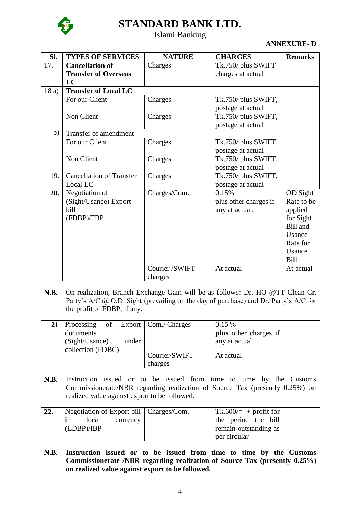

### Islami Banking

#### **ANNEXURE- D**

| Sl.  | <b>TYPES OF SERVICES</b>        | <b>NATURE</b>  | <b>CHARGES</b>        | <b>Remarks</b> |
|------|---------------------------------|----------------|-----------------------|----------------|
| 17.  | <b>Cancellation of</b>          | Charges        | Tk.750/ plus SWIFT    |                |
|      | <b>Transfer of Overseas</b>     |                | charges at actual     |                |
|      | LC                              |                |                       |                |
| 18a) | <b>Transfer of Local LC</b>     |                |                       |                |
|      | For our Client                  | Charges        | Tk.750/ plus SWIFT,   |                |
|      |                                 |                | postage at actual     |                |
|      | Non Client                      | Charges        | Tk.750/ plus SWIFT,   |                |
|      |                                 |                | postage at actual     |                |
| b)   | Transfer of amendment           |                |                       |                |
|      | For our Client                  | Charges        | Tk.750/ plus SWIFT,   |                |
|      |                                 |                | postage at actual     |                |
|      | Non Client                      | Charges        | Tk.750/ plus SWIFT,   |                |
|      |                                 |                | postage at actual     |                |
| 19.  | <b>Cancellation of Transfer</b> | Charges        | Tk.750/ plus SWIFT,   |                |
|      | Local LC                        |                | postage at actual     |                |
| 20.  | Negotiation of                  | Charges/Com.   | 0.15%                 | OD Sight       |
|      | (Sight/Usance) Export           |                | plus other charges if | Rate to be     |
|      | bill                            |                | any at actual.        | applied        |
|      | (FDBP)/FBP                      |                |                       | for Sight      |
|      |                                 |                |                       | Bill and       |
|      |                                 |                |                       | Usance         |
|      |                                 |                |                       | Rate for       |
|      |                                 |                |                       | Usance         |
|      |                                 |                |                       | <b>Bill</b>    |
|      |                                 | Courier /SWIFT | At actual             | At actual      |
|      |                                 | charges        |                       |                |

**N.B.** On realization, Branch Exchange Gain will be as follows**:** Dr. HO @TT Clean Cr. Party's A/C @ O.D. Sight (prevailing on the day of purchase) and Dr. Party's A/C for the profit of FDBP, if any.

|                   |       | 21   Processing of Export   Com./ Charges | $0.15\%$                     |  |
|-------------------|-------|-------------------------------------------|------------------------------|--|
| documents         |       |                                           | <b>plus</b> other charges if |  |
| (Sight/Usance)    | under |                                           | any at actual.               |  |
| collection (FDBC) |       |                                           |                              |  |
|                   |       | Courier/SWIFT                             | At actual                    |  |
|                   |       | charges                                   |                              |  |

**N.B.** Instruction issued or to be issued from time to time by the Customs Commissionerate/NBR regarding realization of Source Tax (presently 0.25%) on realized value against export to be followed.

| 22. | Negotiation of Export bill   Charges/Com. | Tk.600/= + profit for |  |
|-----|-------------------------------------------|-----------------------|--|
|     | local<br>currency<br>1n                   | the period the bill   |  |
|     | (LDBP)/IBP                                | remain outstanding as |  |
|     |                                           | per circular          |  |

**N.B. Instruction issued or to be issued from time to time by the Customs Commissionerate /NBR regarding realization of Source Tax (presently 0.25%) on realized value against export to be followed.**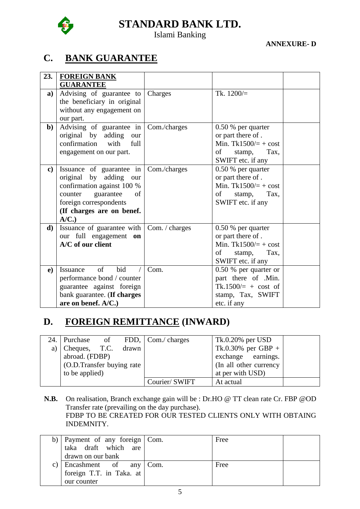

### Islami Banking

**ANNEXURE- D**

## **C. BANK GUARANTEE**

| 23.           | <b>FOREIGN BANK</b>                               |              |                                |  |
|---------------|---------------------------------------------------|--------------|--------------------------------|--|
|               | <b>GUARANTEE</b>                                  |              |                                |  |
| a)            | Advising of guarantee to                          | Charges      | Tk. $1200/$                    |  |
|               | the beneficiary in original                       |              |                                |  |
|               | without any engagement on                         |              |                                |  |
|               | our part.                                         |              |                                |  |
| $\mathbf{b}$  | Advising of guarantee in                          | Com./charges | $0.50\%$ per quarter           |  |
|               | original by adding<br>our                         |              | or part there of .             |  |
|               | confirmation<br>with<br>full                      |              | Min. Tk1500/ $= + \text{cost}$ |  |
|               | engagement on our part.                           |              | of<br>Tax,<br>stamp,           |  |
|               |                                                   |              | SWIFT etc. if any              |  |
| $\mathbf{c})$ | Issuance of guarantee in                          | Com./charges | 0.50 % per quarter             |  |
|               | original by adding<br>our                         |              | or part there of.              |  |
|               | confirmation against 100 %                        |              | Min. Tk1500/ $=$ + cost        |  |
|               | guarantee<br>of<br>counter                        |              | of<br>Tax,<br>stamp,           |  |
|               | foreign correspondents                            |              | SWIFT etc. if any              |  |
|               | (If charges are on benef.                         |              |                                |  |
|               | A/C.                                              |              |                                |  |
| d)            | Issuance of guarantee with $\vert$ Com. / charges |              | $0.50\%$ per quarter           |  |
|               | our full engagement<br>on                         |              | or part there of.              |  |
|               | A/C of our client                                 |              | Min. $Tk1500/= + \text{cost}$  |  |
|               |                                                   |              | of<br>Tax,<br>stamp,           |  |
|               |                                                   |              | SWIFT etc. if any              |  |
| e)            | bid<br>of<br>Issuance                             | Com.         | 0.50 % per quarter or          |  |
|               | performance bond / counter                        |              | part there of .Min.            |  |
|               | guarantee against foreign                         |              | Tk.1500/ $=$ + cost of         |  |
|               | bank guarantee. (If charges                       |              | stamp, Tax, SWIFT              |  |
|               | are on benef. A/C.)                               |              | etc. if any                    |  |

### **D. FOREIGN REMITTANCE (INWARD)**

|                           |  | 24. Purchase of FDD, Com./ charges | Tk.0.20% per USD       |  |
|---------------------------|--|------------------------------------|------------------------|--|
| a) Cheques, T.C. drawn    |  |                                    | Tk.0.30% per GBP +     |  |
| abroad. (FDBP)            |  |                                    | exchange earnings.     |  |
| (O.D.Transfer buying rate |  |                                    | (In all other currency |  |
| to be applied)            |  |                                    | at per with USD)       |  |
|                           |  | Courier/ SWIFT                     | At actual              |  |

**N.B.** On realisation, Branch exchange gain will be : Dr.HO @ TT clean rate Cr. FBP @OD Transfer rate (prevailing on the day purchase). FDBP TO BE CREATED FOR OUR TESTED CLIENTS ONLY WITH OBTAING INDEMNITY.

| b)   Payment of any foreign $\vert$ Com.  | Free |  |
|-------------------------------------------|------|--|
| taka draft which are                      |      |  |
| drawn on our bank                         |      |  |
| c) $\vert$ Encashment of any $\vert$ Com. | Free |  |
| foreign T.T. in Taka. at                  |      |  |
| our counter                               |      |  |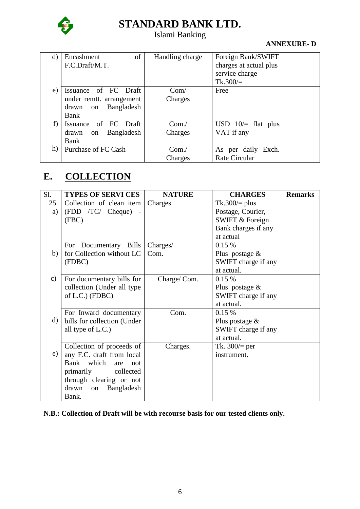

### Islami Banking

### **ANNEXURE- D**

| d) | of<br>Encashment                     | Handling charge | Foreign Bank/SWIFT         |  |
|----|--------------------------------------|-----------------|----------------------------|--|
|    | F.C.Draft/M.T.                       |                 | charges at actual plus     |  |
|    |                                      |                 | service charge             |  |
|    |                                      |                 | $Tk.300/=$                 |  |
| e) | Issuance of FC Draft                 | Com/            | Free                       |  |
|    | under remtt. arrangement             | Charges         |                            |  |
|    | Bangladesh<br>drawn<br>on            |                 |                            |  |
|    | Bank                                 |                 |                            |  |
|    | Issuance of FC Draft                 | Com/            | USD $10/=\text{flat}$ plus |  |
|    | Bangladesh<br>drawn<br><sub>on</sub> | Charges         | VAT if any                 |  |
|    | Bank                                 |                 |                            |  |
| h) | Purchase of FC Cash                  | Com.            | As per daily<br>Exch.      |  |
|    |                                      | Charges         | Rate Circular              |  |

## **E. COLLECTION**

| S1.           | <b>TYPES OF SERVI CES</b>   | <b>NATURE</b> | <b>CHARGES</b>      | <b>Remarks</b> |
|---------------|-----------------------------|---------------|---------------------|----------------|
| 25.           | Collection of clean item    | Charges       | $Tk.300/=$ plus     |                |
| a)            | (FDD /TC/ Cheque) -         |               | Postage, Courier,   |                |
|               | (FBC)                       |               | SWIFT & Foreign     |                |
|               |                             |               | Bank charges if any |                |
|               |                             |               | at actual           |                |
|               | For Documentary Bills       | Charges/      | 0.15%               |                |
| b)            | for Collection without LC   | Com.          | Plus postage $&$    |                |
|               | (FDBC)                      |               | SWIFT charge if any |                |
|               |                             |               | at actual.          |                |
| $\mathbf{c})$ | For documentary bills for   | Charge/Com.   | 0.15%               |                |
|               | collection (Under all type  |               | Plus postage $&$    |                |
|               | of L.C.) (FDBC)             |               | SWIFT charge if any |                |
|               |                             |               | at actual.          |                |
|               | For Inward documentary      | Com.          | 0.15%               |                |
| $\mathbf{d}$  | bills for collection (Under |               | Plus postage $&$    |                |
|               | all type of L.C.)           |               | SWIFT charge if any |                |
|               |                             |               | at actual.          |                |
|               | Collection of proceeds of   | Charges.      | Tk. $300/$ per      |                |
| e)            | any F.C. draft from local   |               | instrument.         |                |
|               | Bank which<br>are<br>not    |               |                     |                |
|               | primarily<br>collected      |               |                     |                |
|               | through clearing or not     |               |                     |                |
|               | drawn<br>Bangladesh<br>on   |               |                     |                |
|               | Bank.                       |               |                     |                |

**N.B.: Collection of Draft will be with recourse basis for our tested clients only.**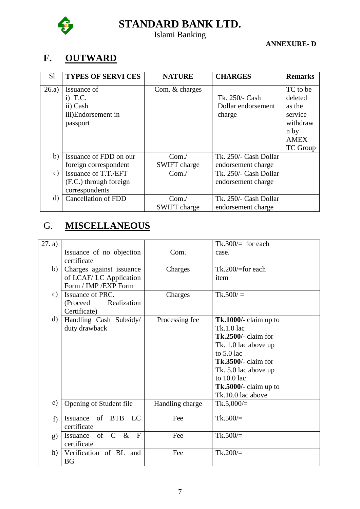

### Islami Banking

### **ANNEXURE- D**

# **F. OUTWARD**

| S1.           | <b>TYPES OF SERVI CES</b>                                              | <b>NATURE</b>          | <b>CHARGES</b>                                 | <b>Remarks</b>                                       |
|---------------|------------------------------------------------------------------------|------------------------|------------------------------------------------|------------------------------------------------------|
| 26.a)         | Issuance of<br>$i)$ T.C.<br>ii) Cash<br>iii)Endorsement in<br>passport | Com. & charges         | Tk. 250/- Cash<br>Dollar endorsement<br>charge | TC to be<br>deleted<br>as the<br>service<br>withdraw |
|               |                                                                        |                        |                                                | n by<br><b>AMEX</b><br><b>TC</b> Group               |
| b)            | Issuance of FDD on our<br>foreign correspondent                        | Com.<br>SWIFT charge   | Tk. 250/- Cash Dollar<br>endorsement charge    |                                                      |
| $\mathbf{c})$ | Issuance of T.T./EFT<br>(F.C.) through foreign<br>correspondents       | Com.                   | Tk. 250/- Cash Dollar<br>endorsement charge    |                                                      |
| d)            | <b>Cancellation of FDD</b>                                             | Com. /<br>SWIFT charge | Tk. 250/- Cash Dollar<br>endorsement charge    |                                                      |

# G. **MISCELLANEOUS**

| 27. a)   |                                         |                 | Tk.300/ $=$ for each    |
|----------|-----------------------------------------|-----------------|-------------------------|
|          | Issuance of no objection<br>certificate | Com.            | case.                   |
|          |                                         |                 |                         |
| b)       | Charges against issuance                | Charges         | $Tk.200/ = for each$    |
|          | of LCAF/LC Application                  |                 | item                    |
|          | Form / IMP / EXP Form                   |                 |                         |
| c)       | Issuance of PRC.                        | Charges         | $Tk.500/ =$             |
|          | Realization<br>(Proceed)                |                 |                         |
|          | Certificate)                            |                 |                         |
| $\rm d)$ | Handling Cash Subsidy/                  | Processing fee  | $Tk.1000/-$ claim up to |
|          | duty drawback                           |                 | Tk.1.0 lac              |
|          |                                         |                 | $Tk.2500/- claim for$   |
|          |                                         |                 | Tk. 1.0 lac above up    |
|          |                                         |                 | to $5.0$ lac            |
|          |                                         |                 | $Tk.3500/- claim for$   |
|          |                                         |                 | Tk. 5.0 lac above up    |
|          |                                         |                 | to $10.0$ lac           |
|          |                                         |                 | Tk.5000/- claim up to   |
|          |                                         |                 | Tk.10.0 lac above       |
| e)       | Opening of Student file                 | Handling charge | $Tk.5,000/=$            |
|          |                                         |                 |                         |
| f        | of<br><b>BTB</b><br>LC<br>Issuance      | Fee             | $Tk.500/=$              |
|          | certificate                             |                 |                         |
| g)       | Issuance of $C \& F$                    | Fee             | $Tk.500/=$              |
|          | certificate                             |                 |                         |
| h)       | Verification of BL and                  | Fee             | $Tk.200/=$              |
|          | <b>BG</b>                               |                 |                         |
|          |                                         |                 |                         |